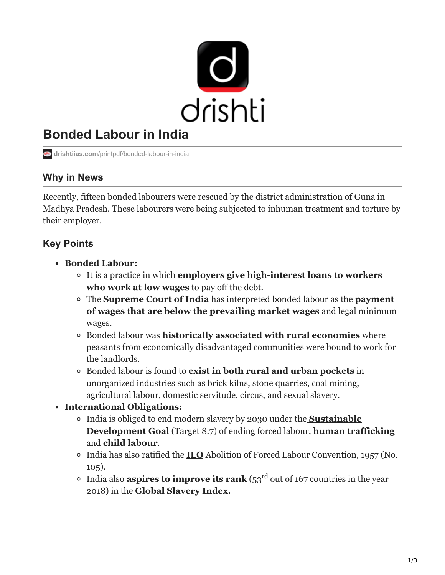

# **Bonded Labour in India**

**drishtiias.com**[/printpdf/bonded-labour-in-india](https://www.drishtiias.com/printpdf/bonded-labour-in-india)

## **Why in News**

Recently, fifteen bonded labourers were rescued by the district administration of Guna in Madhya Pradesh. These labourers were being subjected to inhuman treatment and torture by their employer.

# **Key Points**

- **Bonded Labour:**
	- It is a practice in which **employers give high-interest loans to workers who work at low wages** to pay off the debt.
	- The **Supreme Court of India** has interpreted bonded labour as the **payment of wages that are below the prevailing market wages** and legal minimum wages.
	- Bonded labour was **historically associated with rural economies** where peasants from economically disadvantaged communities were bound to work for the landlords.
	- Bonded labour is found to **exist in both rural and urban pockets** in unorganized industries such as brick kilns, stone quarries, coal mining, agricultural labour, domestic servitude, circus, and sexual slavery.
- **International Obligations:**
	- [India is obliged to end modern slavery by 2030 under the](https://www.drishtiias.com/to-the-points/paper3/sustainable-development-3) **Sustainable Development Goal** (Target 8.7) of ending forced labour, **[human trafficking](https://www.drishtiias.com/loksabha-rajyasabha-discussions/the-big-picture-war-against-human-trafficking)** and **[child labour](https://www.drishtiias.com/daily-updates/daily-news-analysis/world-day-against-child-labour)**.
	- India has also ratified the **[ILO](https://www.drishtiias.com/important-institutions/drishti-specials-important-institutions-international-institution/international-labour-organization)** Abolition of Forced Labour Convention, 1957 (No. 105).
	- India also **aspires to improve its rank** ( $53^{\text{rd}}$  out of 167 countries in the year 2018) in the **Global Slavery Index.**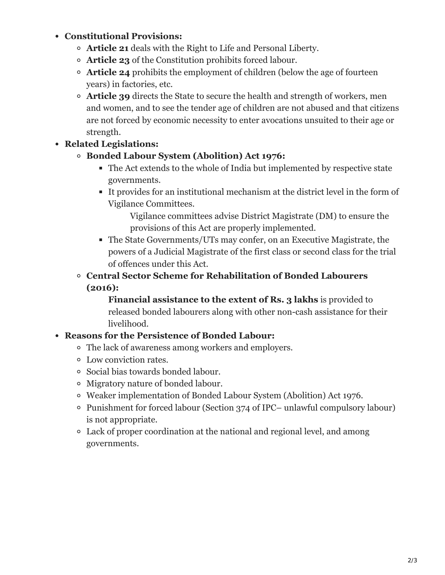#### **Constitutional Provisions:**

- **Article 21** deals with the Right to Life and Personal Liberty.
- **Article 23** of the Constitution prohibits forced labour.
- **Article 24** prohibits the employment of children (below the age of fourteen years) in factories, etc.
- **Article 39** directs the State to secure the health and strength of workers, men and women, and to see the tender age of children are not abused and that citizens are not forced by economic necessity to enter avocations unsuited to their age or strength.

#### **Related Legislations:**

- **Bonded Labour System (Abolition) Act 1976:**
	- The Act extends to the whole of India but implemented by respective state governments.
	- It provides for an institutional mechanism at the district level in the form of Vigilance Committees.

Vigilance committees advise District Magistrate (DM) to ensure the provisions of this Act are properly implemented.

- The State Governments/UTs may confer, on an Executive Magistrate, the powers of a Judicial Magistrate of the first class or second class for the trial of offences under this Act.
- **Central Sector Scheme for Rehabilitation of Bonded Labourers (2016):**

**Financial assistance to the extent of Rs. 3 lakhs** is provided to released bonded labourers along with other non-cash assistance for their livelihood.

#### **Reasons for the Persistence of Bonded Labour:**

- The lack of awareness among workers and employers.
- Low conviction rates.
- Social bias towards bonded labour.
- Migratory nature of bonded labour.
- Weaker implementation of Bonded Labour System (Abolition) Act 1976.
- Punishment for forced labour (Section 374 of IPC– unlawful compulsory labour) is not appropriate.
- Lack of proper coordination at the national and regional level, and among governments.